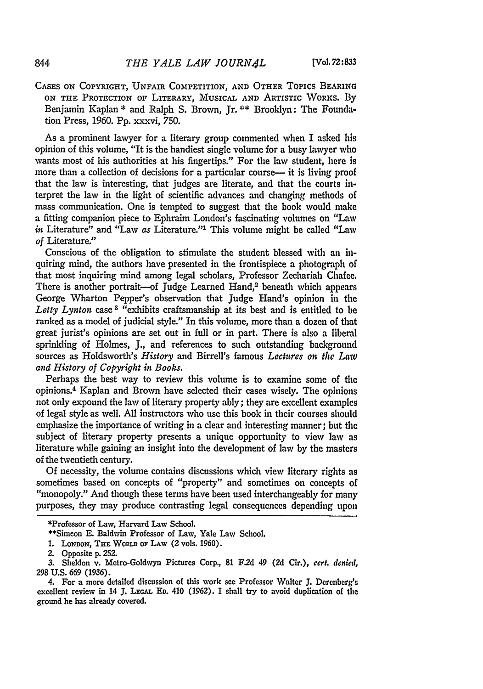**CASES ON** COPYRIGHT, UNFAIR COMPETITION, **AND** OTHER Topics BEARING **ON** THE PROTECTION OF LITERARY, **MUSICAL AND** ARTISTIC **WORKS.** By Benjamin Kaplan **\*** and Ralph S. Brown, Jr. **\*\*** Brooklyn: The Foundation Press, 1960. Pp. xxxvi, 750.

As a prominent lawyer for a literary group commented when I asked his opinion of this volume, "It is the handiest single volume for a busy lawyer who wants most of his authorities at his fingertips." For the law student, here is more than a collection of decisions for a particular course— it is living proof that the law is interesting, that judges are literate, and that the courts interpret the law in the light of scientific advances and changing methods of mass communication. One is tempted to suggest that the book would make a fitting companion piece to Ephraim London's fascinating volumes on "Law *in* Literature" and "Law *as* Literature."<sup>1</sup> This volume might be called "Law *of* Literature."

Conscious of the obligation to stimulate the student blessed with an inquiring mind, the authors have presented in the frontispiece a photograph of that most inquiring mind among legal scholars, Professor Zechariah Chafee. There is another portrait-of Judge Learned Hand,<sup>2</sup> beneath which appears George Wharton Pepper's observation that Judge Hand's opinion in the Letty Lynton case<sup>3</sup> "exhibits craftsmanship at its best and is entitled to be ranked as a model of judicial style." In this volume, more than a dozen of that great jurist's opinions are set out in full or in part. There is also a liberal sprinkling of Holmes, **J.,** and references to such outstanding background sources as Holdsworth's *History* and Birrell's famous *Lectures on the Law and History of Copyright in Books.*

Perhaps the best way to review this volume is to examine some of the opinions.4 Kaplan and Brown have selected their cases wisely. The opinions not only expound the law of literary property ably; they are excellent examples of legal style as well. **All** instructors who use this book in their courses should emphasize the importance of writing in a clear and interesting manner; but the subject of literary property presents a unique opportunity to view law as literature while gaining an insight into the development of law by the masters of the twentieth century.

Of necessity, the volume contains discussions which view literary rights as sometimes based on concepts of "property" and sometimes on concepts of "monopoly." And though these terms have been used interchangeably for many purposes, they may produce contrasting legal consequences depending upon

<sup>\*</sup>Professor of Law, Harvard Law School.

<sup>\*\*</sup>Simeon **E.** Baldwin Professor of Law, Yale Law School.

<sup>1.</sup> LONDON, **THE WORLD OF** LAW **(2** vols. **1960).**

**<sup>2.</sup>** Opposite **p. 252.**

**<sup>3.</sup>** Sheldon v. Metro-Goldwyn Pictures Corp., **81 F2d** 49 **(2d** Cir.), *ceri. doied,* **298 U.S. 669 (1936).**

<sup>4.</sup> For a more detailed discussion of this work see Professor Walter **J.** Derenberg's excellent review in 14 J. **LEGAL ED.** 410 (1962). I shall try to avoid duplication **of** the ground he has already covered.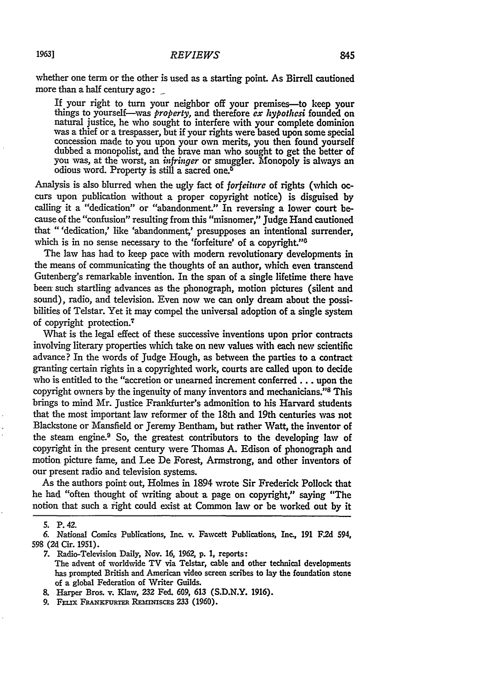**1963]**

whether one term or the other is used as a starting point. As Birrell cautioned more than a half century ago:

If your right to turn your neighbor off your premises-to keep your things to yourself-was *property,* and therefore *ex hypothesi* founded on natural justice, he who sought to interfere with your complete dominion was a thief or a trespasser, but if your rights were based upon some special concession made to you upon your own merits, you then found yourself dubbed a monopolist, and the brave man who sought to get the better of you was, at the worst, an *infringer* or smuggler. Monopoly is always an odious word. Property is still a sacred one.5

Analysis is also blurred when the ugly fact of *forfeiture* of rights (which occurs upon publication without a proper copyright notice) is disguised by calling it a "dedication" or "abandonment." In reversing a lower court because of the "confusion" resulting from this "misnomer," Judge Hand cautioned that "'dedication,' like 'abandonment,' presupposes an intentional surrender, which is in no sense necessary to the 'forfeiture' of a copyright."<sup>6</sup>

The law has had to keep pace with modern revolutionary developments in the means of communicating the thoughts of an author, which even transcend Gutenberg's remarkable invention. In the span of a single lifetime there have been such startling advances as the phonograph, motion pictures (silent and sound), radio, and television. Even now we can only dream about the possibilities of Telstar. Yet it may compel the universal adoption of a single system of copyright protection.<sup>7</sup>

What is the legal effect of these successive inventions upon prior contracts involving literary properties which take on new values with each new scientific advance? In the words of Judge Hough, as between the parties to a contract granting certain rights in a copyrighted work, courts are called upon to decide who is entitled to the "accretion or unearned increment conferred... upon the copyright owners by the ingenuity of many inventors and mechanicians."8 This brings to mind Mr. Justice Frankfurter's admonition to his Harvard students that the most important law reformer of the 18th and 19th centuries was not Blackstone or Mansfield or Jeremy Bentham, but rather Watt, the inventor of the steam engine.<sup>9</sup> So, the greatest contributors to the developing law of copyright in the present century were Thomas A. Edison of phonograph and motion picture fame, and Lee De Forest, Armstrong, and other inventors of our present radio and television systems.

As the authors point out, Holmes in 1894 wrote Sir Frederick Pollock that he had "often thought of writing about a page on copyright," saying "The notion that such a right could exist at Common law or be worked out by it

**<sup>5.</sup>** P. 42.

**<sup>6.</sup>** National Comics Publications, Inc. v. Fawcett Publications, Inc., **191 F.Zd** 594, **598 (2d** Cir. 1951).

<sup>7.</sup> Radio-Television Daily, Nov. *16,* **1962, p. 1,** reports: The advent of worldwide TV via Telstar, cable and other technical developments has prompted British and American video screen scribes to lay the foundation stone of a global Federation of Writer Guilds.

**<sup>8.</sup>** Harper Bros. v. KIaw, **232 Fed. 609, 613 (S.D.N.Y. 1916).**

<sup>9.</sup> FELIX FRANKFURTER REMINISCES 233 (1960).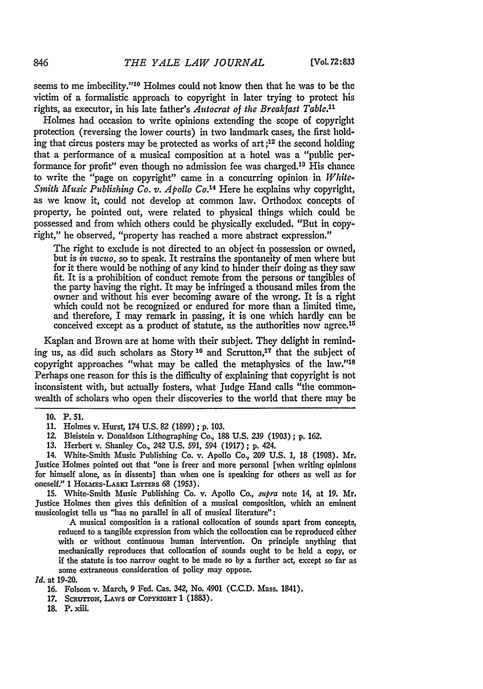seems to me imbecility."<sup>10</sup> Holmes could not know then that he was to be the victim of a formalistic approach to copyright in later trying to protect his rights, as executor, in his late father's *Autocrat of the Breakfast* Table."

Holmes had occasion to write opinions extending the scope of copyright protection (reversing the lower courts) in two landmark cases, the first holding that circus posters may be protected as works of art **;12** the second holding that a performance of a musical composition at a hotel was a "public performance for profit" even though no admission fee was charged.<sup>13</sup> His chance to write the "page on copyright" came in a concurring opinion in *White-Smith Music Publishing Co. v. Apollo Co.*<sup>14</sup> Here he explains why copyright, as we know it, could not develop at common law. Orthodox concepts of property, he pointed out, were related to physical things which could **be** possessed and from which others could be physically excluded. "But in copyright," he observed, "property has reached a more abstract expression."

The right to exclude is not directed to an object in possession or owned, but is *in vacuo,* so to speak. It restrains the spontaneity of men where but for it there would be nothing of any kind to hinder their doing as they saw fit. It is a prohibition of conduct remote from the persons or tangibles of the party having the right. It may be infringed a thousand miles from the owner and without his ever becoming aware of the wrong. It is a right which could not be recognized or endured for more than a limited time, and therefore, I may remark in passing, it is one which hardly can be conceived except as a product of statute, as the authorities **now** agree.15

Kaplan and Brown are at home with their subject. They delight in reminding us, as did such scholars as Story<sup>16</sup> and Scrutton,<sup>17</sup> that the subject of copyright approaches "what may be called the metaphysics of the law."<sup>18</sup> Perhaps one reason for this is the difficulty of explaining that copyright is not inconsistent with, but actually fosters, what Judge Hand calls "the commonwealth of scholars who open their discoveries to the world that there may **be**

**13.** Herbert v. Shanley Co., 242 U.S. 591, 594 (1917); **p.** 424.

14. White-Smith Music Publishing Co. v. Apollo Co., 209 U.S. 1, 18 (1908). Mr. Justice Holmes pointed out that "one is freer and more personal [when writing opinions for himself alone, as in dissents] than when one is speaking for others as well as for oneself." 1 HOLMES-LASKI LETTERS 68 (1953).

**15.** White-Smith Music Publishing Co. v. Apollo Co., *m.pra* note 14, at **19.** Mr. Justice Holmes then gives this definition of a musical composition, which an eminent musicologist tells us "has no parallel in all of musical literature":

A musical composition is a rational collocation of sounds apart from concepts, reduced to a tangible expression from which the collocation can **be** reproduced either with or without continuous human intervention. On principle anything that mechanically reproduces that collocation of sounds ought to be held a copy, or if the statute is too narrow ought to be made so by a further act, except so far as some extraneous consideration of policy may oppose.

**<sup>10.</sup> P. 51.**

**<sup>11.</sup>** Holmes v. Hurst, 174 **U.S. 82** (1899) **; p. 103.**

<sup>12.</sup> Bleistein v. Donaldson Lithographing Co., 188 U.S. **239** (1903); **p. 162.**

*Id.* at 19-20.

<sup>16.</sup> Folsom v. March, 9 Fed. Cas. 342, No. 4901 (C.C.D. Mass. 1841).

<sup>17.</sup> SCRUTTON, LAWS OF COPYRIGHT 1 (1883).

**<sup>18.</sup>** P. xiii.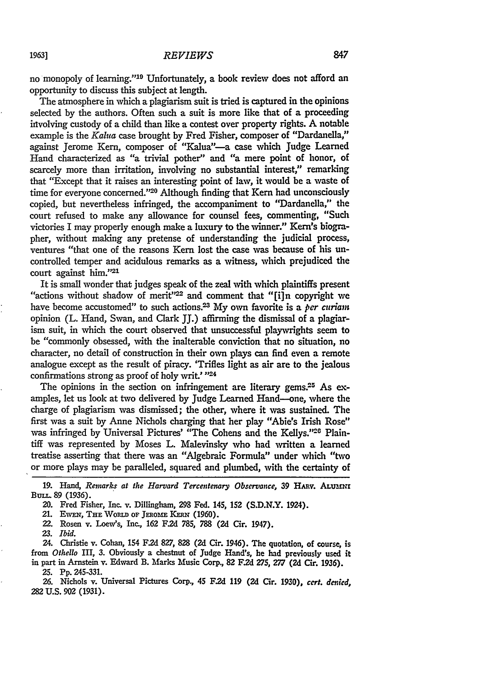no monopoly of learning."<sup>19</sup> Unfortunately, a book review does not afford an opportunity to discuss this subject at length.

The atmosphere in which a plagiarism suit is tried is captured in the opinions selected **by** the authors. Often such a suit is more like that of a proceeding involving custody of a child than like a contest over property rights. A notable example is the *Kalua* case brought **by** Fred Fisher, composer of "Dardanella," against Jerome Kern, composer of "Kalua"-a case which Judge Learned Hand characterized as "a trivial pother" and "a mere point of honor, of scarcely more than irritation, involving no substantial interest," remarking that "Except that it raises an interesting point of law, it would be a waste of time for everyone concerned."<sup>20</sup> Although finding that Kern had unconsciously copied, but nevertheless infringed, the accompaniment to "Dardanella," the court refused to make any allowance for counsel fees, commenting, "Such victories I may properly enough make a luxury to the winner." Kern's biographer, without making any pretense of understanding the judicial process, ventures "that one of the reasons Kern lost the case was because of his uncontrolled temper and acidulous remarks as a witness, which prejudiced the court against him."21

It is small wonder that judges speak of the zeal with which plaintiffs present "actions without shadow of merit"<sup>22</sup> and comment that " $\lim_{n \to \infty}$  copyright we have become accustomed" to such actions.<sup>23</sup> My own favorite is a *per curiam* opinion (L. Hand, Swan, and Clark JJ.) affirming the dismissal of a plagiarism suit, in which the court observed that unsuccessful playwrights seem to be "commonly obsessed, with the inalterable conviction that no situation, no character, no detail of construction in their own plays can find even a remote analogue except as the result of piracy. 'Trifles light as air are to the jealous confirmations strong as proof of holy writ.' **"24**

The opinions in the section on infringement are literary gems.<sup>25</sup> As examples, let us look at two delivered by Judge Learned Hand--one, where the charge of plagiarism was dismissed; the other, where it was sustained. The first was a suit by Anne Nichols charging that her play "Abie's Irish Rose" was infringed by Universal Pictures' "The Cohens and the Kellys."20 Plaintiff was represented by Moses L. Malevinsky who had written a learned treatise asserting that there was an "Algebraic Formula" under which "two or more plays may be paralleled, squared and plumbed, with the certainty of

19. Hand, *Remarks at the Harvard Tercentenary Observance*, 39 HARV. ALUMNI **Bu\_.. 89** (1936).

**20.** Fred Fisher, Inc. v. Dillingham, **298** Fed. 145, 152 (S.D.N.Y. 1924).

21. EWEN, THE WORLD OF JEROME KERN (1960).

22. Rosen v. Loew's, Inc., **162 F.2d 785,** 788 **(2d** Cir. 1947).

*23. Ibid.*

24. Christie v. Cohan, 154 **F.2d 827, 828 (2d** Cir. 1946). The quotation, of course, is from *Othello* III, 3. Obviously a chestnut of Judge Hand's, he had previously used it in part in Arnstein v. Edward B. Marks Music Corp., **82 F2d 275, 7 (2d** Cir. **1936).**

**25. Pp.** 245-331.

**26.** Nichols v. Universal Pictures Corp., 45 **F.2d 119** *(2d* Cir. **1930),** cert. *denied,* 282 **U.S. 902** (1931).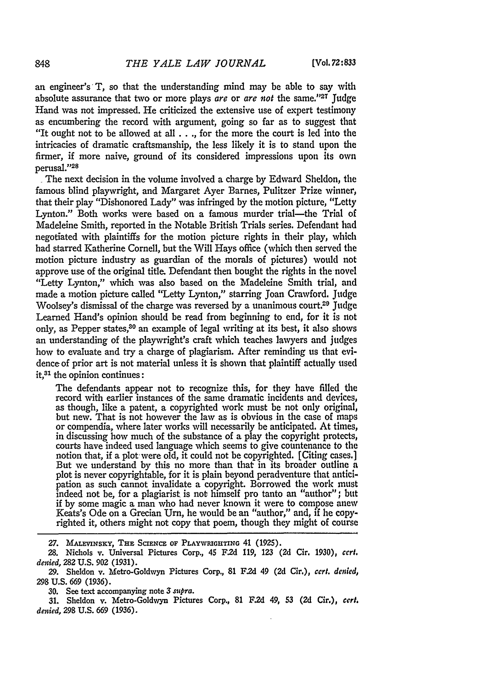an engineer's' T, so that the understanding mind may be able to say with absolute assurance that two or more plays are or are *not* the same."21 Judge Hand was not impressed. He criticized the extensive use of expert testimony as encumbering the record with argument, going so far as to suggest that "It ought not to be allowed at all .... for the more the court is led into the intricacies of dramatic craftsmanship, the less likely it is to stand upon the firmer, if more naive, ground of its considered impressions upon its own perusal."<sup>28</sup>

The next decision in the volume involved a charge by Edward Sheldon, the famous blind playwright, and Margaret Ayer Barnes, Pulitzer Prize winner, that their play "Dishonored Lady" was infringed **by** the motion picture, "Letty Lynton." Both works were based on a famous murder trial-the Trial of Madeleine Smith, reported in the Notable British Trials series. Defendant had negotiated with plaintiffs for the motion picture rights in their play, which had starred Katherine Cornell, but the Will Hays office (which then served the motion picture industry as guardian of the morals of pictures) would not approve use of the original title. Defendant then bought the rights in the novel "Letty Lynton," which was also based on the Madeleine Smith trial, and made a motion picture called "'Letty Lynton," starring Joan Crawford. Judge Woolsey's dismissal of the charge was reversed by a unanimous court.<sup>29</sup> Judge Learned Hand's opinion should be read from beginning to end, for it is not only, as Pepper states,<sup>30</sup> an example of legal writing at its best, it also shows an understanding of the playwright's craft which teaches lawyers and judges how to evaluate and try a charge of plagiarism. After reminding us that evidence of prior art is not material unless it is shown that plaintiff actually used **it,31** the opinion continues:

The defendants appear not to recognize this, for they have filled the record with earlier instances of the same dramatic incidents and devices, as though, like a patent, a copyrighted work must be not only original, but new. That is not however the law as is obvious in the case **of** maps or compendia, where later works will necessarily be anticipated. At times, in discussing how much of the substance of a play the copyright protects, courts have indeed used language which seems to give countenance to the notion that, if a plot were old, it could not be copyrighted. [Citing cases.] But we understand **by** this no more than that in its broader outline **a** plot is never copyrightable, for it is plain beyond peradventure that anticipation as such cannot invalidate a copyright. Borrowed the work must indeed not be, for a plagiarist is not himself pro tanto an "author"; but if **by** some magic a man who had never known it were to compose anew Keats's Ode on a Grecian Urn, he would be an "author," and, if he copyrighted it, others might not copy that poem, though they might of course

**27. MALVINsxy, THE SCIENCE OF PLAYWRIGHTING** 41 **(1925).**

**28. Nichols v. Universal Pictures Corp.,** 45 **F2d 119, 123 (2d** Cir. **1930),** *cert. denied,* **282 U.S. 902 (1931).**

**29.** Sheldon v. Metro-Goldwyn Pictures Corp., **81 F2d** 49 **(2d** Cir.), *cert. denied,* **298 U.S. 669 (1936).**

**30.** See text accompanying note *3 .supra.*

**31.** Sheldon v. Metro-Goldwyn Pictures Corp., **81 F.2d** 49, **53 (2d** Cir.), *cert. denied,* **298 U.S. 669 (1936).**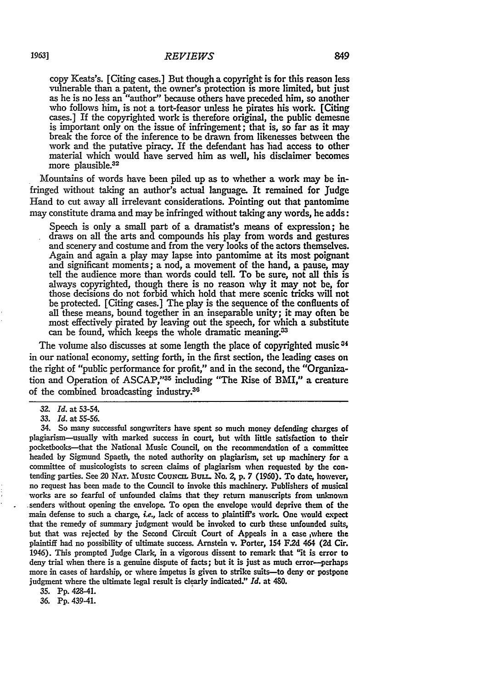copy Keats's. [Citing cases.] But though a copyright is for this reason less vulnerable than a patent, the owner's protection is more limited, but just as he is no less an "author" because others have preceded him, so another who follows him, is not a tort-feasor unless he pirates his work. [Citing] cases.] If the copyrighted work is therefore original, the public demesne is important only on the issue of infringement; that is, so far as it may break the force of the inference to be drawn from likenesses between the work and the putative piracy. If the defendant has had access to other material which would have served him as well, his disclaimer becomes more plausible.<sup>32</sup>

Mountains of words have been piled up as to whether a work may be infringed without taking an author's actual language. It remained for Judge Hand to cut away all irrelevant considerations. Pointing out that pantomime may constitute drama and may be infringed without taking any words, he adds:

Speech is only a small part of a dramatist's means of expression; he draws on all the arts and compounds his play from words and gestures and scenery and costume and from the very looks of the actors themselves. Again and again a play may lapse into pantomime at its most poignant and significant moments; a nod, a movement of the hand, a pause, may tell the audience more than words could tell. To be sure, not all this is always copyrighted, though there is no reason why it may not be, for those decisions do not forbid which hold that mere scenic tricks will not be protected. [Citing cases.] The play is the sequence of the confluents of all these means, bound together in an inseparable unity; it may often be most effectively pirated by leaving out the speech, for which a substitute can be found, which keeps the whole dramatic meaning. $33$ 

The volume also discusses at some length the place of copyrighted music <sup>34</sup> in our national economy, setting forth, in the first section, the leading cases on the right of "public performance for profit," and in the second, the "Organization and Operation of **ASCAP,"35** including "The Rise of BMI," a creature of the combined broadcasting industry.<sup>36</sup>

34. So many successful songwriters have spent so much money defending charges of plagiarism-usually with marked success in court, but with little satisfaction to their pocketbooks-that the National Music Council, on the recommendation of a committee headed by Sigmund Spaeth, the noted authority on plagiarism, set up machinery for a committee of musicologists to screen claims of plagiarism when requested **by** the contending parties. See 20 **NAT.** Music CouNcn. BuL.. No. *2,* **p. 7 (1960).** To date, however, no request has been made to the Council to invoke this machinery. Publishers of musical works are so fearful of unfounded claims that they return manuscripts from unknown senders without opening the envelope. To open the envelope would deprive them of the main defense to such a charge, i.e., lack of access to plaintiff's work. One would expect that the remedy of summary judgment would be invoked to curb these unfounded suits, but that was rejected **by** the Second Circuit Court of Appeals in a case ,where the plaintiff had no possibility of ultimate success. Arnstein v. Porter, 154 **F2d** 464 (2d Cir. 1946). This prompted Judge Clark, in a vigorous dissent to remark that "it is error to deny trial when there is a genuine dispute of facts; but it is just as much error--perhaps more in cases of hardship, or where impetus is given to strike suits-to deny or postpone judgment where the ultimate legal result is clearly indicated." *Id.* at 480.

35. Pp. 428-41.

36. Pp. 439-41.

<sup>32.</sup> *Id.* at 53-54.

*<sup>33.</sup> Id.* at **55-56.**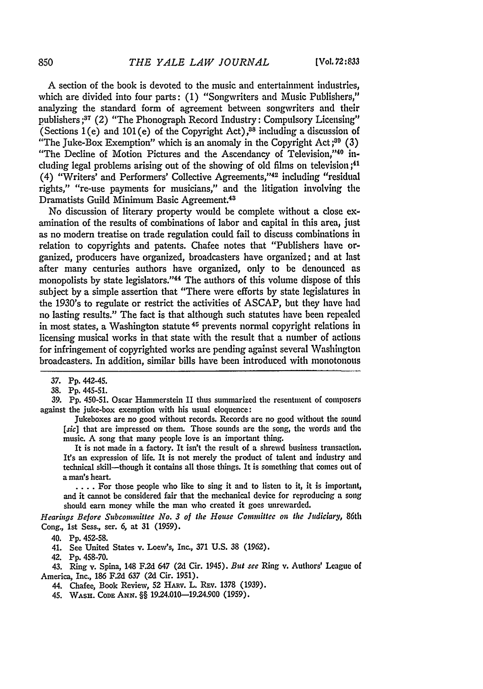A section of the book is devoted to the music and entertainment industries, which are divided into four parts: (1) "Songwriters and Music Publishers," analyzing the standard form of agreement between songwriters and their publishers **;37** (2) "The Phonograph Record Industry: Compulsory Licensing" (Sections 1 (e) and 101 (e) of the Copyright Act) **,8** including a discussion of "The Juke-Box Exemption" which is an anomaly in the Copyright Act;<sup>40</sup> (3) "The Decline of Motion Pictures and the Ascendancy of Television,"40 including legal problems arising out of the showing of old films on television **;41** (4) "Writers' and Performers' Collective Agreements,"42 including "residual rights," "re-use payments for musicians," and the litigation involving the Dramatists Guild Minimum Basic Agreement.<sup>43</sup>

No discussion of literary property would be complete without a close examination of the results of combinations of labor and capital in this area, just as no modern treatise on trade regulation could fail to discuss combinations in relation to copyrights and patents. Chafee notes that "Publishers have organized, producers have organized, broadcasters have organized; and at last after many centuries authors have organized, only to be denounced as monopolists by state legislators."'44 The authors of this volume dispose of this subject by a simple assertion that "There were efforts by state legislatures in the 1930's to regulate or restrict the activities of ASCAP, but they have had no lasting results." The fact is that although such statutes have been repealed in most states, a Washington statute **45** prevents normal copyright relations in licensing musical works in that state with the result that a number of actions for infringement of copyrighted works are pending against several Washington broadcasters. In addition, similar bills have been introduced with monotonous

38. **Pp.** 445-51.

39. **Pp.** 450-51. Oscar Hammerstein II thus summarized the resentment of composers against the juke-box exemption with his usual eloquence:

Jukeboxes are no good without records. Records are no good without the sound [sic] that are impressed on them. Those sounds are the song, the words and the music. **A** song that many people love is an important thing.

It is not made in a factory. It isn't the result of a shrewd business transaction. It's an expression of life. It is not merely the product of talent and industry and technical skill-though it contains all those things. It is something that comes out of a man's heart.

**....** For those people who like to sing it and to listen to it, it is important, and it cannot be considered fair that the mechanical device for reproducing a song should earn money while the man who created it goes unrewarded.

*Hearings Before Subcommittee No. 3 of the House Committee on* **the** *Judiciary,* 86th Cong., **1st** Sess., ser. **6,** at 31 **(1959).**

41. See United States v. Loew's, Inc., **371** U.S. 38 (1962).

42. **Pp.** 458-70.

43. Ring v. Spina, 148 F.2d 647 **(2d** Cir. 1945). *But see* Ring v. Authors' League of America, Inc., **186** F.2d **637 (2d** Cir. **1951).**

44. Chafee, Book Review, 52 HARV. L. REV. 1378 (1939).

45. **WASH. CODE** Axx. §§ 19.24.010--19.24.900 (1959).

<sup>37.</sup> **Pp.** 442-45.

<sup>40.</sup> **Pp.** 452-58.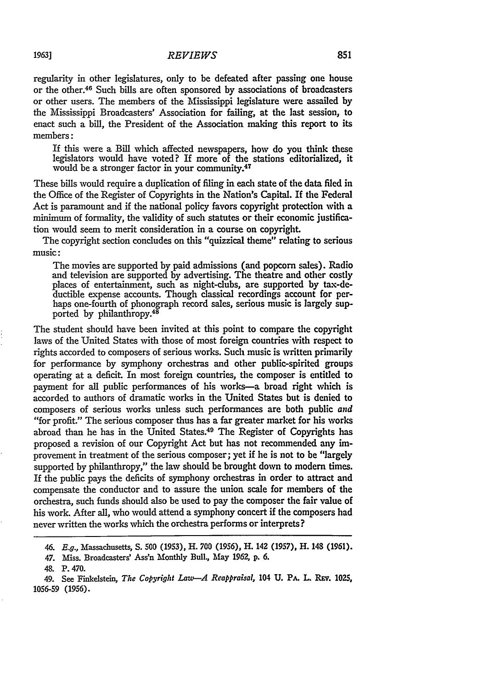regularity in other legislatures, only to be defeated after passing one house or the other.46 Such bills are often sponsored by associations of broadcasters or other users. The members of the Mississippi legislature were assailed **by** the Mississippi Broadcasters' Association for failing, at the last session, to enact such a bill, the President of the Association making this report to its members:

If this were a Bill which affected newspapers, how do you think these legislators would have voted? **If** more of the stations editorialized, it would be a stronger factor in your community.<sup>47</sup>

These bills would require a duplication of filing in each state of the data **filed** in the Office of the Register of Copyrights in the Nation's Capital. If the Federal Act is paramount and if the national policy favors copyright protection with a minimum of formality, the validity of such statutes or their economic justification would seem to merit consideration in a course on copyright.

The copyright section concludes on this "quizzical theme" relating to serious music:

The movies are supported by paid admissions (and popcorn sales). Radio and television are supported **by** advertising. The theatre and other costly places of entertainment, such as night-clubs, are supported **by** tax-deductible expense accounts. Though classical recordings account for perhaps one-fourth of phonograph record sales, serious music is largely sup- ported **by** philanthropy. <sup>48</sup>

The student should have been invited at this point to compare the copyright laws of the United States with those of most foreign countries with respect to rights accorded to composers of serious works. Such music is written primarily for performance by symphony orchestras and other public-spirited groups operating at a deficit. In most foreign countries, the composer is entitled to payment for all public performances of his works-a broad right which is accorded to authors of dramatic works in the United States but is denied to composers of serious works unless such performances are both public *and* "for profit." The serious composer thus has a far greater market for his works abroad than he has in the United States.<sup>49</sup> The Register of Copyrights has proposed a revision of our Copyright Act but has not recommended any improvement in treatment of the serious composer; yet if he is not to be "largely supported **by** philanthropy," the law should be brought down to modem times. If the public pays the deficits of symphony orchestras in order to attract and compensate the conductor and to assure the union scale for members of the orchestra, such funds should also be used to pay the composer the fair value of his work. After all, who would attend a symphony concert **if** the composers had never written the works which the orchestra performs or interprets?

<sup>46.</sup> *E.g.,* Massachusetts, S. **500** (1953), H. **700** (1956), H. 142 (1957), H. 148 (1961).

<sup>47.</sup> Miss. Broadcasters' Ass'n Monthly Bull., May 1962, p. 6.

<sup>48.</sup> P. 470.

<sup>49.</sup> See Finkeistein, *The Copyright Law-A Reappraisal,* 104 U. PA. *L.* Rav. 1025, **1056-59 (1956).**